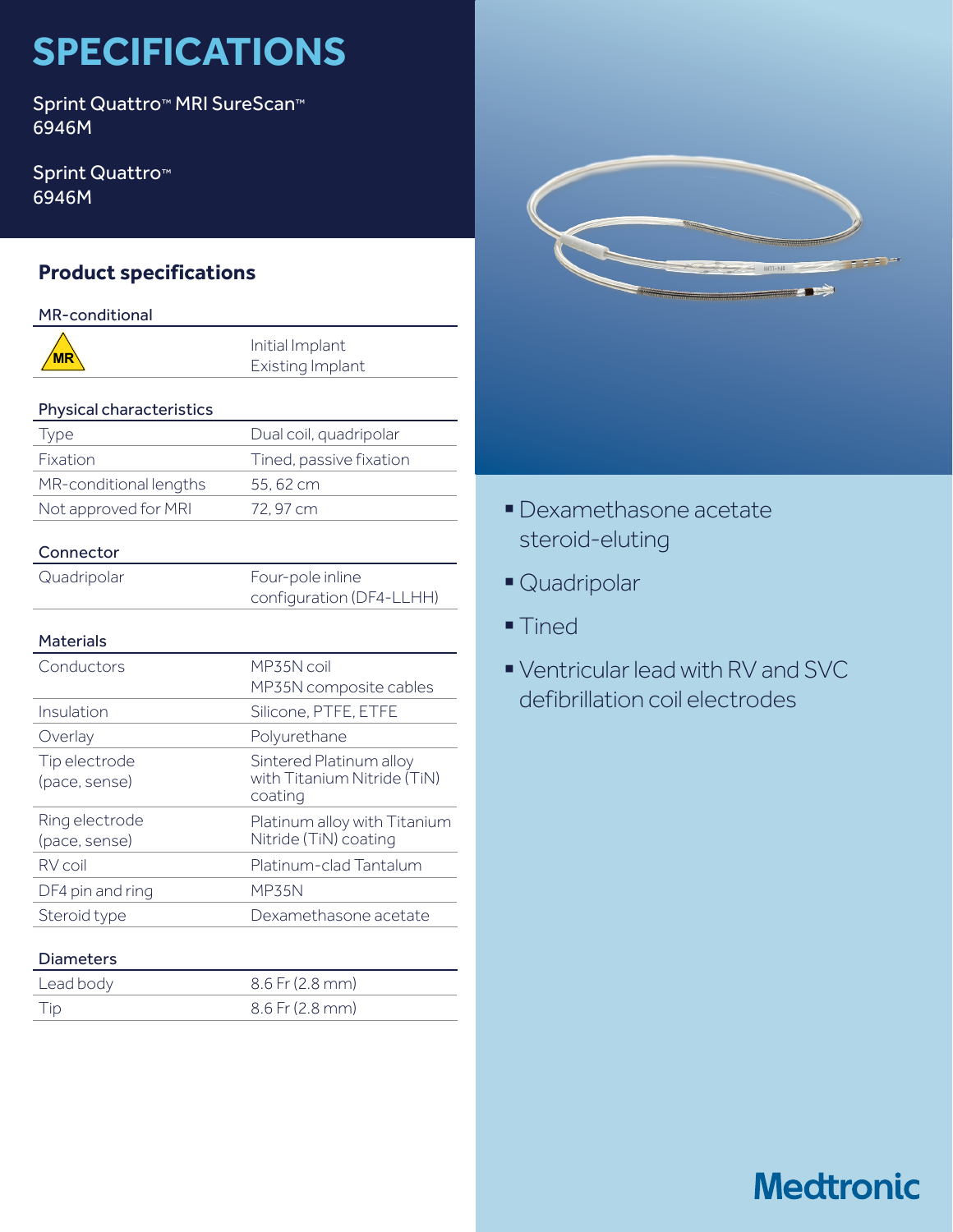# **SPECIFICATIONS**

Sprint Quattro™ MRI SureScan™ 6946M

Sprint Quattro<sup>™</sup> 6946M

## **Product specifications**

### MR-conditional

#### Physical characteristics

| Type                   | Dual coil, quadripolar  |
|------------------------|-------------------------|
| <b>Fixation</b>        | Tined, passive fixation |
| MR-conditional lengths | 55, 62 cm               |
| Not approved for MRI   | 72.97 cm                |

## Connector

Quadripolar Four-pole inline

configuration (DF4-LLHH)

### Materials

| Conductors                      | MP35N coil<br>MP35N composite cables                              |
|---------------------------------|-------------------------------------------------------------------|
| Insulation                      | Silicone, PTFE, ETFE                                              |
| Overlay                         | Polyurethane                                                      |
| Tip electrode<br>(pace, sense)  | Sintered Platinum alloy<br>with Titanium Nitride (TiN)<br>coating |
| Ring electrode<br>(pace, sense) | Platinum alloy with Titanium<br>Nitride (TiN) coating             |
| RV coil                         | Platinum-clad Tantalum                                            |
| DF4 pin and ring                | <b>MP35N</b>                                                      |
| Steroid type                    | Dexamethasone acetate                                             |

### Diameters

| Lead body | $8.6$ Fr (2.8 mm) |
|-----------|-------------------|
| Tip       | $8.6$ Fr (2.8 mm) |



- §Dexamethasone acetate steroid-eluting
- § Quadripolar
- Tined
- § Ventricular lead with RV and SVC defibrillation coil electrodes

## **Medtronic**